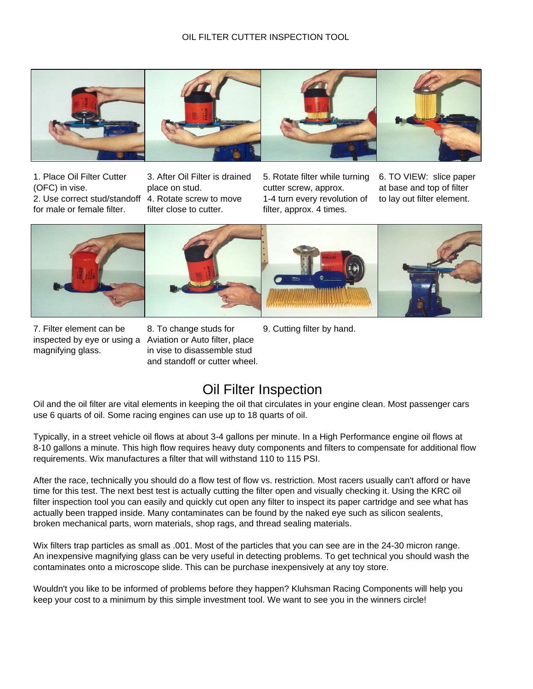## OIL FILTER CUTTER INSPECTION TOOL



(OFC) in vise. place on stud. cutter screw, approx. at base and top of filter 2. Use correct stud/standoff 4. Rotate screw to move 1-4 turn every revolution of to lay out filter element. for male or female filter. filter close to cutter. **filter**, approx. 4 times.

1. Place Oil Filter Cutter 3. After Oil Filter is drained 5. Rotate filter while turning 6. TO VIEW: slice paper









7. Filter element can be 8. To change studs for 9. Cutting filter by hand.

inspected by eye or using a Aviation or Auto filter, place magnifying glass. in vise to disassemble stud and standoff or cutter wheel.

## Oil Filter Inspection

Oil and the oil filter are vital elements in keeping the oil that circulates in your engine clean. Most passenger cars use 6 quarts of oil. Some racing engines can use up to 18 quarts of oil.

Typically, in a street vehicle oil flows at about 3-4 gallons per minute. In a High Performance engine oil flows at 8-10 gallons a minute. This high flow requires heavy duty components and filters to compensate for additional flow requirements. Wix manufactures a filter that will withstand 110 to 115 PSI.

After the race, technically you should do a flow test of flow vs. restriction. Most racers usually can't afford or have time for this test. The next best test is actually cutting the filter open and visually checking it. Using the KRC oil filter inspection tool you can easily and quickly cut open any filter to inspect its paper cartridge and see what has actually been trapped inside. Many contaminates can be found by the naked eye such as silicon sealents, broken mechanical parts, worn materials, shop rags, and thread sealing materials.

Wix filters trap particles as small as .001. Most of the particles that you can see are in the 24-30 micron range. An inexpensive magnifying glass can be very useful in detecting problems. To get technical you should wash the contaminates onto a microscope slide. This can be purchase inexpensively at any toy store.

Wouldn't you like to be informed of problems before they happen? Kluhsman Racing Components will help you keep your cost to a minimum by this simple investment tool. We want to see you in the winners circle!